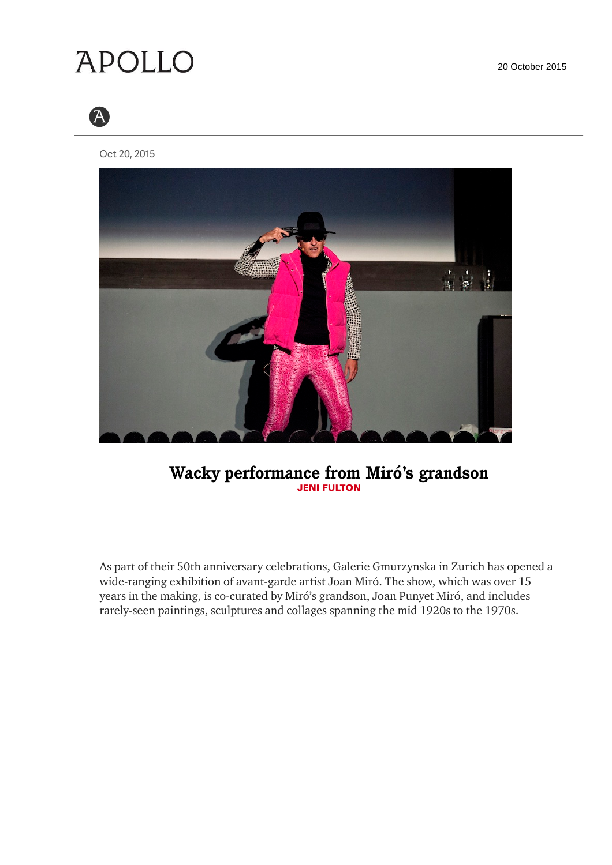20 October 2015

## **APOLLO**



Oct 20, 2015



## **Wacky performance from Miró's grandson JENI FULTON**

As part of their 50th anniversary celebrations, Galerie Gmurzynska in Zurich has opened a wide-ranging exhibition of avant-garde artist Joan Miró. The show, which was over 15 years in the making, is co-curated by Miró's grandson, Joan Punyet Miró, and includes rarely-seen paintings, sculptures and collages spanning the mid 1920s to the 1970s.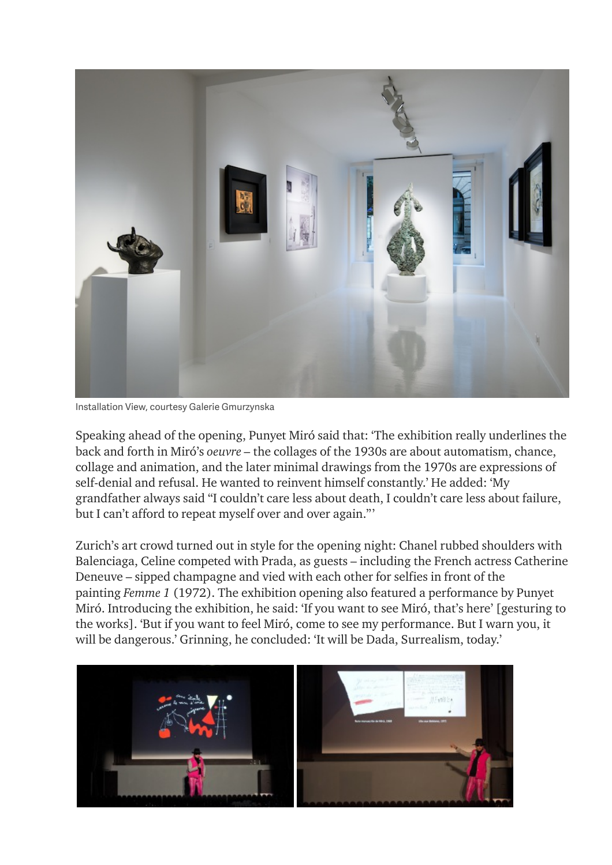

Installation View, courtesy Galerie Gmurzynska

Speaking ahead of the opening, Punyet Miró said that: 'The exhibition really underlines the back and forth in Miró's *oeuvre –* the collages of the 1930s are about automatism, chance, collage and animation, and the later minimal drawings from the 1970s are expressions of self-denial and refusal. He wanted to reinvent himself constantly.' He added: 'My grandfather always said "I couldn't care less about death, I couldn't care less about failure, but I can't afford to repeat myself over and over again."'

Zurich's art crowd turned out in style for the opening night: Chanel rubbed shoulders with Balenciaga, Celine competed with Prada, as guests – including the French actress Catherine Deneuve – sipped champagne and vied with each other for selfies in front of the painting *Femme 1* (1972). The exhibition opening also featured a performance by Punyet Miró. Introducing the exhibition, he said: 'If you want to see Miró, that's here' [gesturing to the works]. 'But if you want to feel Miró, come to see my performance. But I warn you, it will be dangerous.' Grinning, he concluded: 'It will be Dada, Surrealism, today.'